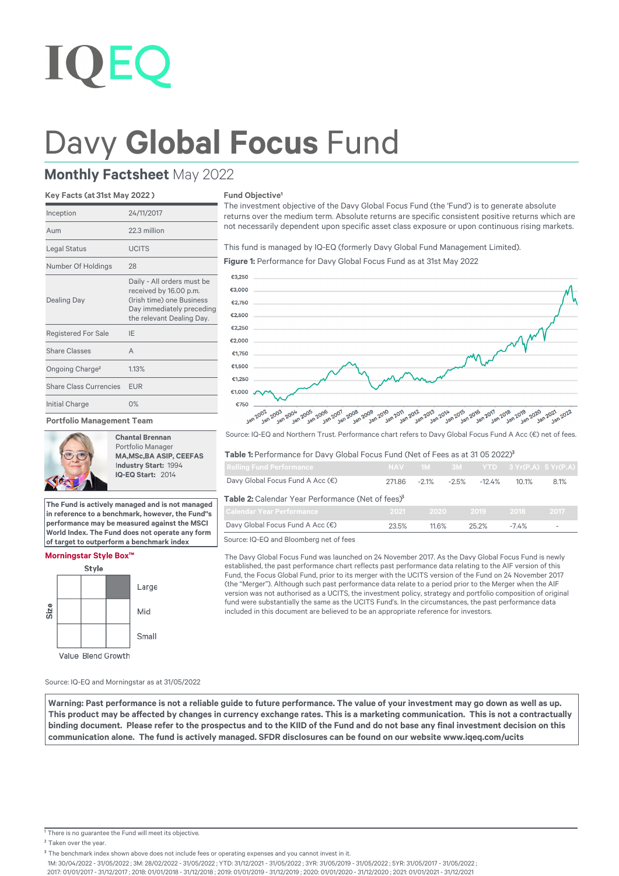# Davy Global Focus Fund

## **Monthly Factsheet** May 2022

### **Key Facts (at 31st May 2022 )**

| Inception                     | 24/11/2017                                                                                                                                  |
|-------------------------------|---------------------------------------------------------------------------------------------------------------------------------------------|
| Aum                           | 22.3 million                                                                                                                                |
| Legal Status                  | <b>UCITS</b>                                                                                                                                |
| Number Of Holdings            | 28                                                                                                                                          |
| <b>Dealing Day</b>            | Daily - All orders must be<br>received by 16.00 p.m.<br>(Irish time) one Business<br>Day immediately preceding<br>the relevant Dealing Day. |
| <b>Registered For Sale</b>    | IE                                                                                                                                          |
| <b>Share Classes</b>          | A                                                                                                                                           |
| Ongoing Charge <sup>2</sup>   | 1.13%                                                                                                                                       |
| <b>Share Class Currencies</b> | <b>EUR</b>                                                                                                                                  |
| Initial Charge                | 0%                                                                                                                                          |
|                               |                                                                                                                                             |

#### **Portfolio Management Team**



**Chantal Brennan** Portfolio Manager **MA,MSc,BA ASIP, CEEFAS** I**ndustry Start:** 1994  **IQ-EQ Start:** 2014

**The Fund is actively managed and is not managed in reference to a benchmark, however, the Fund''s performance may be measured against the MSCI World Index. The Fund does not operate any form of target to outperform a benchmark index**

#### **Morningstar Style Box™**



**Fund Objective<sup>1</sup>** 

The investment objective of the Davy Global Focus Fund (the 'Fund') is to generate absolute returns over the medium term. Absolute returns are specific consistent positive returns which are not necessarily dependent upon specific asset class exposure or upon continuous rising markets.

This fund is managed by IQ-EQ (formerly Davy Global Fund Management Limited).

**Figure 1:** Performance for Davy Global Focus Fund as at 31st May 2022



Source: IQ-EQ and Northern Trust. Performance chart refers to Davy Global Focus Fund A Acc (€) net of fees.

#### Table 1: Performance for Davy Global Focus Fund (Net of Fees as at 31 05 2022)<sup>3</sup>

| <b>Rolling Fund Performance</b>                               |        |         |         |          | NAV 1M 3M YTD 3 Yr(P.A) 5 Yr(P.A) |      |  |  |  |
|---------------------------------------------------------------|--------|---------|---------|----------|-----------------------------------|------|--|--|--|
| Davy Global Focus Fund A Acc (€)                              | 271.86 | $-2.1%$ | $-2.5%$ | $-12.4%$ | 10.1%                             | 8.1% |  |  |  |
| Table 2: Calendar Year Performance (Net of fees) <sup>3</sup> |        |         |         |          |                                   |      |  |  |  |
| <b>Calendar Year Performance</b>                              | 2021   | 2020    |         | $-2019$  | 2018                              | 2017 |  |  |  |
| Davy Global Focus Fund A Acc (€)                              | 23.5%  | 11.6%   |         | 25.2%    | $-7.4\%$                          |      |  |  |  |
|                                                               |        |         |         |          |                                   |      |  |  |  |

Source: IQ-EQ and Bloomberg net of fees

The Davy Global Focus Fund was launched on 24 November 2017. As the Davy Global Focus Fund is newly established, the past performance chart reflects past performance data relating to the AIF version of this Fund, the Focus Global Fund, prior to its merger with the UCITS version of the Fund on 24 November 2017 (the "Merger"). Although such past performance data relate to a period prior to the Merger when the AIF version was not authorised as a UCITS, the investment policy, strategy and portfolio composition of original fund were substantially the same as the UCITS Fund's. In the circumstances, the past performance data included in this document are believed to be an appropriate reference for investors.

Source: IQ-EQ and Morningstar as at 31/05/2022

Warning: Past performance is not a reliable guide to future performance. The value of your investment may go down as well as up. This product may be affected by changes in currency exchange rates. This is a marketing communication. This is not a contractually binding document. Please refer to the prospectus and to the KIID of the Fund and do not base any final investment decision on this **communication alone.b The fund is actively managed. SFDR disclosures can be found on our website www.iqeq.com/ucits**

1M: 30/04/2022 - 31/05/2022 ; 3M: 28/02/2022 - 31/05/2022 ; YTD: 31/12/2021 - 31/05/2022 ; 3YR: 31/05/2019 - 31/05/2022 ; 5YR: 31/05/2017 - 31/05/2022 ;

2017: 01/01/2017 - 31/12/2017 ; 2018: 01/01/2018 - 31/12/2018 ; 2019: 01/01/2019 - 31/12/2019 ; 2020: 01/01/2020 - 31/12/2020 ; 2021: 01/01/2021 - 31/12/2021

<sup>&</sup>lt;sup>1</sup> There is no guarantee the Fund will meet its objective.

<sup>&</sup>lt;sup>2</sup> Taken over the year.

<sup>&</sup>lt;sup>3</sup> The benchmark index shown above does not include fees or operating expenses and you cannot invest in it.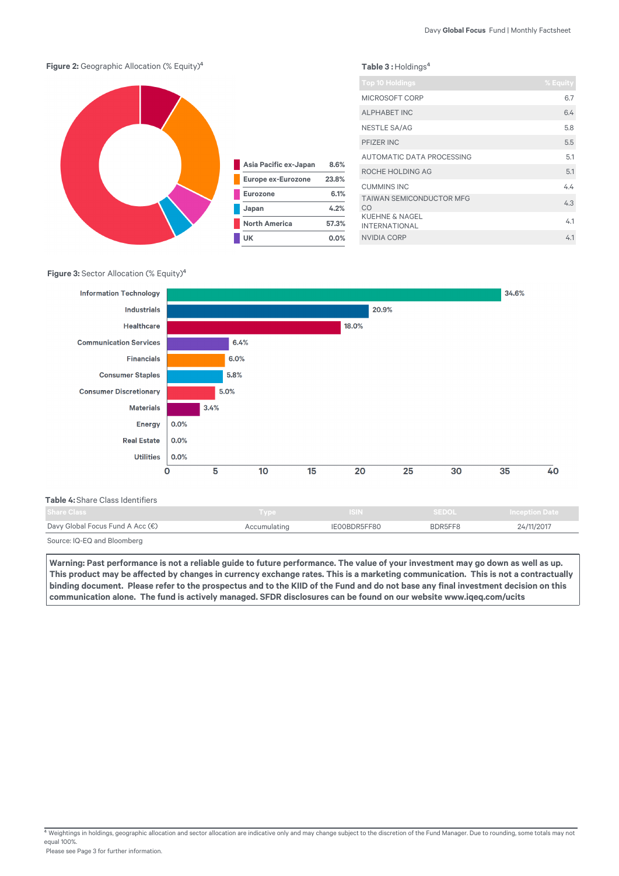

## **Figure 3: Sector Allocation (% Equity)<sup>4</sup>**



| <b>Table 4:</b> Share Class Identifiers . |              |              |              |                     |
|-------------------------------------------|--------------|--------------|--------------|---------------------|
| <b>Share Class</b>                        | Type         | <b>ISIN</b>  | <b>SEDOL</b> | <b>Inception</b> Da |
| Davy Global Focus Fund A Acc $(\epsilon)$ | Accumulating | IE00BDR5FF80 | BDR5FF8      | 24/11/2017          |
|                                           |              |              |              |                     |

Source: IQ-EQ and Bloomberg

**Warning: Past performance is not a reliable guide to future performance. The value of your investment may go down as well as up.**  This product may be affected by changes in currency exchange rates. This is a marketing communication. This is not a contractually binding document. Please refer to the prospectus and to the KIID of the Fund and do not base any final investment decision on this communication alone. The fund is actively managed. SFDR disclosures can be found on our website www.iqeq.com/ucits

 $4$  Weightings in holdings, geographic allocation and sector allocation are indicative only and may change subject to the discretion of the Fund Manager. Due to rounding, some totals may not equal 100%.

Please see Page 3 for further information.